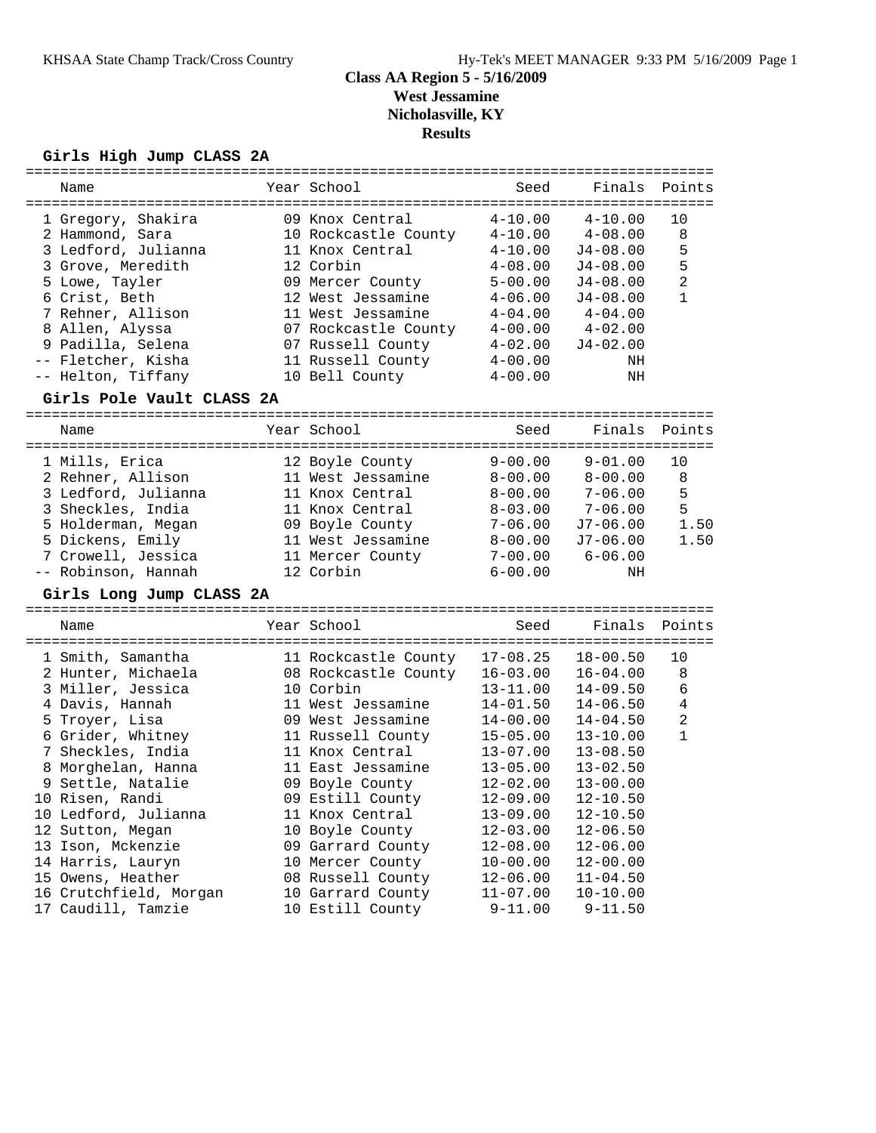#### **Girls High Jump CLASS 2A**

| Name                      | Year School          | Seed         | Finals       | Points         |
|---------------------------|----------------------|--------------|--------------|----------------|
| 1 Gregory, Shakira        | 09 Knox Central      | $4 - 10.00$  | $4 - 10.00$  | 10             |
| 2 Hammond, Sara           | 10 Rockcastle County | $4 - 10.00$  | $4 - 08.00$  | 8              |
| 3 Ledford, Julianna       | 11 Knox Central      | $4 - 10.00$  | $J4 - 08.00$ | 5              |
| 3 Grove, Meredith         | 12 Corbin            | $4 - 08.00$  | $J4 - 08.00$ | 5              |
| 5 Lowe, Tayler            | 09 Mercer County     | $5 - 00.00$  | $J4 - 08.00$ | $\overline{2}$ |
| 6 Crist, Beth             | 12 West Jessamine    | $4 - 06.00$  | $J4 - 08.00$ | $\mathbf{1}$   |
| 7 Rehner, Allison         | 11 West Jessamine    | $4 - 04.00$  | $4 - 04.00$  |                |
| 8 Allen, Alyssa           | 07 Rockcastle County | $4 - 00.00$  | $4 - 02.00$  |                |
| 9 Padilla, Selena         | 07 Russell County    | $4 - 02.00$  | $J4 - 02.00$ |                |
| -- Fletcher, Kisha        | 11 Russell County    | $4 - 00.00$  | NH           |                |
| -- Helton, Tiffany        | 10 Bell County       | $4 - 00.00$  | ΝH           |                |
| Girls Pole Vault CLASS 2A |                      |              |              |                |
|                           |                      |              |              |                |
| Name                      | Year School          | Seed         | Finals       | Points         |
| 1 Mills, Erica            | 12 Boyle County      | $9 - 00.00$  | $9 - 01.00$  | 10             |
| 2 Rehner, Allison         | 11 West Jessamine    | $8 - 00.00$  | $8 - 00.00$  | 8              |
| 3 Ledford, Julianna       | 11 Knox Central      | $8 - 00.00$  | $7 - 06.00$  | 5              |
| 3 Sheckles, India         | 11 Knox Central      | $8 - 03.00$  | $7 - 06.00$  | 5              |
| 5 Holderman, Megan        | 09 Boyle County      | $7 - 06.00$  | $J7-06.00$   | 1.50           |
| 5 Dickens, Emily          | 11 West Jessamine    | $8 - 00.00$  | $J7-06.00$   | 1.50           |
| 7 Crowell, Jessica        | 11 Mercer County     | $7 - 00.00$  | $6 - 06.00$  |                |
| -- Robinson, Hannah       | 12 Corbin            | $6 - 00.00$  | ΝH           |                |
| Girls Long Jump CLASS 2A  |                      |              |              |                |
| Name                      | Year School          | Seed         | Finals       | Points         |
|                           |                      |              |              |                |
| 1 Smith, Samantha         | 11 Rockcastle County | $17 - 08.25$ | $18 - 00.50$ | 10             |
| 2 Hunter, Michaela        | 08 Rockcastle County | $16 - 03.00$ | $16 - 04.00$ | 8              |
| 3 Miller, Jessica         | 10 Corbin            | $13 - 11.00$ | $14 - 09.50$ | 6              |
| 4 Davis, Hannah           | 11 West Jessamine    | $14 - 01.50$ | $14 - 06.50$ | 4              |
| 5 Troyer, Lisa            | 09 West Jessamine    | $14 - 00.00$ | $14 - 04.50$ | $\overline{a}$ |
| 6 Grider, Whitney         | 11 Russell County    | $15 - 05.00$ | $13 - 10.00$ | $\mathbf{1}$   |
| 7 Sheckles, India         | 11 Knox Central      | $13 - 07.00$ | $13 - 08.50$ |                |
| 8 Morghelan, Hanna        | 11 East Jessamine    | $13 - 05.00$ | $13 - 02.50$ |                |
| 9 Settle, Natalie         | 09 Boyle County      | $12 - 02.00$ | $13 - 00.00$ |                |
| 10 Risen, Randi           | 09 Estill County     | $12 - 09.00$ | $12 - 10.50$ |                |
| 10 Ledford, Julianna      | 11 Knox Central      | $13 - 09.00$ | $12 - 10.50$ |                |
| 12 Sutton, Megan          | 10 Boyle County      | $12 - 03.00$ | $12 - 06.50$ |                |
| 13 Ison, Mckenzie         | 09 Garrard County    | $12 - 08.00$ | $12 - 06.00$ |                |
| 14 Harris, Lauryn         | 10 Mercer County     | $10 - 00.00$ | $12 - 00.00$ |                |
| 15 Owens, Heather         | 08 Russell County    | $12 - 06.00$ | $11 - 04.50$ |                |

 16 Crutchfield, Morgan 10 Garrard County 11-07.00 10-10.00 17 Caudill, Tamzie 10 Estill County 9-11.00 9-11.50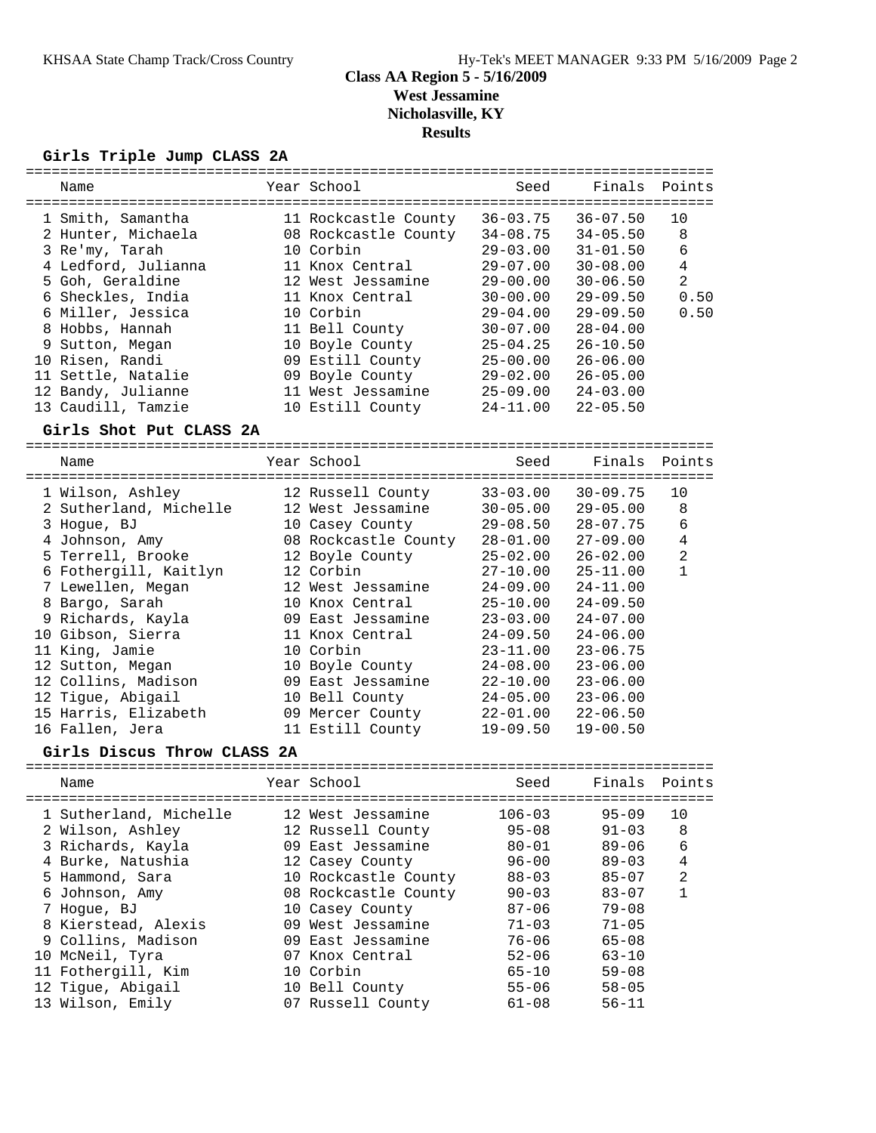# **Girls Triple Jump CLASS 2A**

| Name                                                                                                                                                                                                                                                                                                                                                                   | Year School                                                                                                                                                                                                                                                                                                                        | Seed                                                                                                                                                                                                                         | Finals                                                                                                                                                                                                                                                       | Points                                                           |
|------------------------------------------------------------------------------------------------------------------------------------------------------------------------------------------------------------------------------------------------------------------------------------------------------------------------------------------------------------------------|------------------------------------------------------------------------------------------------------------------------------------------------------------------------------------------------------------------------------------------------------------------------------------------------------------------------------------|------------------------------------------------------------------------------------------------------------------------------------------------------------------------------------------------------------------------------|--------------------------------------------------------------------------------------------------------------------------------------------------------------------------------------------------------------------------------------------------------------|------------------------------------------------------------------|
| 1 Smith, Samantha<br>2 Hunter, Michaela<br>3 Re'my, Tarah<br>4 Ledford, Julianna<br>5 Goh, Geraldine<br>6 Sheckles, India<br>6 Miller, Jessica<br>8 Hobbs, Hannah<br>9 Sutton, Megan<br>10 Risen, Randi<br>11 Settle, Natalie<br>12 Bandy, Julianne<br>13 Caudill, Tamzie                                                                                              | 11 Rockcastle County 36-03.75<br>08 Rockcastle County 34-08.75<br>10 Corbin<br>11 Knox Central<br>12 West Jessamine<br>11 Knox Central<br>10 Corbin<br>11 Bell County<br>10 Boyle County<br>09 Estill County<br>09 Boyle County<br>11 West Jessamine<br>10 Estill County                                                           | $29 - 03.00$<br>$29 - 07.00$<br>$29 - 00.00$<br>$30 - 00.00$<br>$29 - 04.00$<br>$30 - 07.00$<br>$25 - 04.25$<br>$25 - 00.00$<br>$29 - 02.00$<br>$25 - 09.00$<br>$24 - 11.00$                                                 | $36 - 07.50$<br>$34 - 05.50$<br>$31 - 01.50$<br>$30 - 08.00$<br>$30 - 06.50$<br>$29 - 09.50$<br>$29 - 09.50$<br>$28 - 04.00$<br>$26 - 10.50$<br>$26 - 06.00$<br>$26 - 05.00$<br>$24 - 03.00$<br>$22 - 05.50$                                                 | 10<br>8<br>6<br>$\overline{4}$<br>$\overline{2}$<br>0.50<br>0.50 |
| Girls Shot Put CLASS 2A                                                                                                                                                                                                                                                                                                                                                |                                                                                                                                                                                                                                                                                                                                    |                                                                                                                                                                                                                              |                                                                                                                                                                                                                                                              |                                                                  |
| Name                                                                                                                                                                                                                                                                                                                                                                   | Year School                                                                                                                                                                                                                                                                                                                        | Seed                                                                                                                                                                                                                         | Finals                                                                                                                                                                                                                                                       | Points                                                           |
| 1 Wilson, Ashley<br>2 Sutherland, Michelle<br>3 Hogue, BJ<br>4 Johnson, Amy<br>5 Terrell, Brooke<br>6 Fothergill, Kaitlyn<br>7 Lewellen, Megan<br>8 Bargo, Sarah<br>9 Richards, Kayla<br>10 Gibson, Sierra<br>11 King, Jamie<br>12 Sutton, Megan<br>12 Collins, Madison<br>12 Tigue, Abigail<br>15 Harris, Elizabeth<br>16 Fallen, Jera<br>Girls Discus Throw CLASS 2A | 12 Russell County<br>12 West Jessamine<br>10 Casey County<br>08 Rockcastle County 28-01.00<br>12 Boyle County 25-02.00<br>12 Corbin<br>12 West Jessamine<br>10 Knox Central<br>09 East Jessamine<br>11 Knox Central<br>10 Corbin<br>10 Boyle County<br>09 East Jessamine<br>10 Bell County<br>09 Mercer County<br>11 Estill County | $33 - 03.00$<br>$30 - 05.00$<br>$29 - 08.50$<br>$27 - 10.00$<br>$24 - 09.00$<br>$25 - 10.00$<br>$23 - 03.00$<br>$24 - 09.50$<br>$23 - 11.00$<br>$24 - 08.00$<br>$22 - 10.00$<br>$24 - 05.00$<br>$22 - 01.00$<br>$19 - 09.50$ | $30 - 09.75$<br>$29 - 05.00$<br>$28 - 07.75$<br>$27 - 09.00$<br>$26 - 02.00$<br>$25 - 11.00$<br>$24 - 11.00$<br>$24 - 09.50$<br>$24 - 07.00$<br>$24 - 06.00$<br>$23 - 06.75$<br>$23 - 06.00$<br>$23 - 06.00$<br>$23 - 06.00$<br>$22 - 06.50$<br>$19 - 00.50$ | 10<br>8<br>6<br>$\overline{4}$<br>$\overline{a}$<br>$\mathbf{1}$ |
| Name                                                                                                                                                                                                                                                                                                                                                                   | Year School                                                                                                                                                                                                                                                                                                                        | Seed                                                                                                                                                                                                                         | Finals                                                                                                                                                                                                                                                       | Points                                                           |
| 1 Sutherland, Michelle<br>2 Wilson, Ashley<br>3 Richards, Kayla<br>4 Burke, Natushia<br>5 Hammond, Sara<br>6 Johnson, Amy<br>7 Hogue, BJ<br>8 Kierstead, Alexis<br>9 Collins, Madison<br>10 McNeil, Tyra<br>11 Fothergill, Kim<br>12 Tigue, Abigail<br>13 Wilson, Emily                                                                                                | 12 West Jessamine<br>12 Russell County<br>09 East Jessamine<br>12 Casey County<br>10 Rockcastle County<br>08 Rockcastle County<br>10 Casey County<br>09 West Jessamine<br>09 East Jessamine<br>07 Knox Central<br>10 Corbin<br>10 Bell County<br>07 Russell County                                                                 | $106 - 03$<br>$95 - 08$<br>$80 - 01$<br>$96 - 00$<br>$88 - 03$<br>$90 - 03$<br>$87 - 06$<br>$71 - 03$<br>$76 - 06$<br>$52 - 06$<br>$65 - 10$<br>$55 - 06$<br>$61 - 08$                                                       | $95 - 09$<br>$91 - 03$<br>$89 - 06$<br>$89 - 03$<br>$85 - 07$<br>$83 - 07$<br>$79 - 08$<br>$71 - 05$<br>$65 - 08$<br>$63 - 10$<br>$59 - 08$<br>$58 - 05$<br>$56 - 11$                                                                                        | 10<br>8<br>6<br>$\overline{4}$<br>$\overline{c}$<br>1            |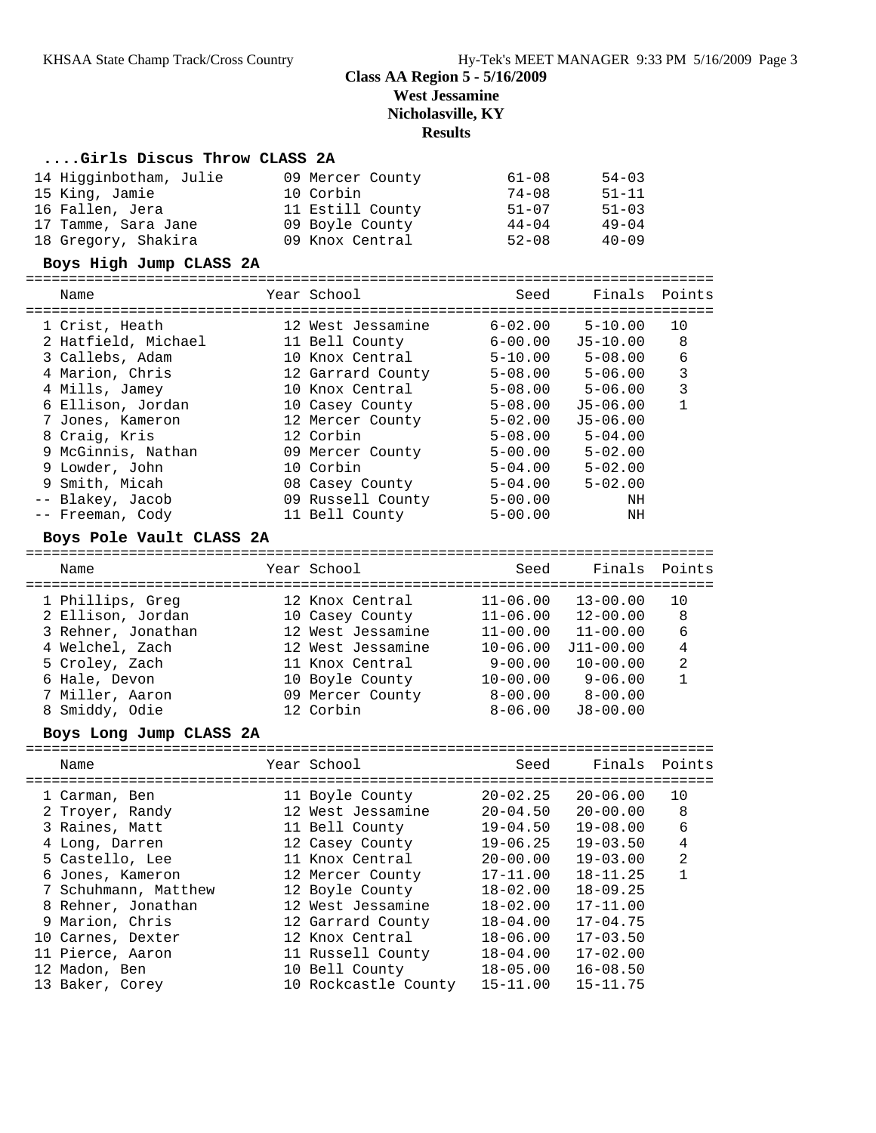#### **....Girls Discus Throw CLASS 2A**

| 14 Higginbotham, Julie | 09 Mercer County | 61-08     | $54 - 03$ |
|------------------------|------------------|-----------|-----------|
| 15 King, Jamie         | 10 Corbin        | $74 - 08$ | $51 - 11$ |
| 16 Fallen, Jera        | 11 Estill County | $51 - 07$ | $51 - 03$ |
| 17 Tamme, Sara Jane    | 09 Boyle County  | $44 - 04$ | $49 - 04$ |
| 18 Gregory, Shakira    | 09 Knox Central  | $52 - 08$ | $40 - 09$ |

#### **Boys High Jump CLASS 2A**

| Name                                                                                                                                   | Year School                                                                                                                           | Seed                                                                                                  | Finals Points                                                                                          |                        |
|----------------------------------------------------------------------------------------------------------------------------------------|---------------------------------------------------------------------------------------------------------------------------------------|-------------------------------------------------------------------------------------------------------|--------------------------------------------------------------------------------------------------------|------------------------|
| 1 Crist, Heath<br>2 Hatfield, Michael<br>3 Callebs, Adam<br>4 Marion, Chris<br>4 Mills, Jamey<br>6 Ellison, Jordan<br>7 Jones, Kameron | 12 West Jessamine<br>11 Bell County<br>10 Knox Central<br>12 Garrard County<br>10 Knox Central<br>10 Casey County<br>12 Mercer County | $6 - 02.00$<br>$6 - 00.00$<br>$5 - 10.00$<br>$5 - 08.00$<br>$5 - 08.00$<br>$5 - 08.00$<br>$5 - 02.00$ | $5 - 10.00$<br>$J5-10.00$<br>$5 - 08.00$<br>$5 - 06.00$<br>$5 - 06.00$<br>$J5 - 06.00$<br>$J5 - 06.00$ | 10<br>8<br>6<br>3<br>3 |
| 8 Craig, Kris<br>9 McGinnis, Nathan<br>9 Lowder, John<br>9 Smith, Micah<br>-- Blakey, Jacob<br>-- Freeman, Cody                        | 12 Corbin<br>09 Mercer County<br>10 Corbin<br>08 Casey County<br>09 Russell County<br>11 Bell County                                  | $5 - 08.00$<br>$5 - 00.00$<br>$5 - 04.00$<br>$5 - 04.00$<br>$5 - 00.00$<br>$5 - 00.00$                | $5 - 04.00$<br>$5 - 02.00$<br>$5 - 02.00$<br>$5 - 02.00$<br>ΝH<br>ΝH                                   |                        |

### **Boys Pole Vault CLASS 2A**

| Name               | Year School       | Seed         | Finals Points |     |
|--------------------|-------------------|--------------|---------------|-----|
| 1 Phillips, Greg   | 12 Knox Central   | $11 - 06.00$ | $13 - 00.00$  | 1 O |
| 2 Ellison, Jordan  | 10 Casey County   | $11 - 06.00$ | $12 - 00.00$  | 8   |
| 3 Rehner, Jonathan | 12 West Jessamine | $11 - 00.00$ | $11 - 00.00$  | 6   |
| 4 Welchel, Zach    | 12 West Jessamine | $10 - 06.00$ | $J11 - 00.00$ | 4   |
| 5 Croley, Zach     | 11 Knox Central   | $9 - 00.00$  | $10 - 00.00$  | 2   |
| 6 Hale, Devon      | 10 Boyle County   | $10 - 00.00$ | $9 - 06.00$   | 1   |
| 7 Miller, Aaron    | 09 Mercer County  | $8 - 00.00$  | $8 - 00.00$   |     |
| 8 Smiddy, Odie     | 12 Corbin         | $8 - 06.00$  | $J8 - 00.00$  |     |
|                    |                   |              |               |     |

### **Boys Long Jump CLASS 2A**

| Name                 | Year School          | Seed         | Finals Points |                |
|----------------------|----------------------|--------------|---------------|----------------|
| 1 Carman, Ben        | 11 Boyle County      | 20-02.25     | $20 - 06.00$  | 10             |
| 2 Troyer, Randy      | 12 West Jessamine    | $20 - 04.50$ | $20 - 00.00$  | 8              |
| 3 Raines, Matt       | 11 Bell County       | $19 - 04.50$ | $19 - 08.00$  | 6              |
| 4 Long, Darren       | 12 Casey County      | $19 - 06.25$ | $19 - 03.50$  | 4              |
| 5 Castello, Lee      | 11 Knox Central      | $20 - 00.00$ | $19 - 03.00$  | $\overline{2}$ |
| 6 Jones, Kameron     | 12 Mercer County     | 17-11.00     | $18 - 11.25$  |                |
| 7 Schuhmann, Matthew | 12 Boyle County      | $18 - 02.00$ | $18 - 09.25$  |                |
| 8 Rehner, Jonathan   | 12 West Jessamine    | $18 - 02.00$ | $17 - 11.00$  |                |
| 9 Marion, Chris      | 12 Garrard County    | $18 - 04.00$ | $17 - 04.75$  |                |
| 10 Carnes, Dexter    | 12 Knox Central      | $18 - 06.00$ | $17 - 03.50$  |                |
| 11 Pierce, Aaron     | 11 Russell County    | $18 - 04.00$ | $17 - 02.00$  |                |
| 12 Madon, Ben        | 10 Bell County       | $18 - 05.00$ | $16 - 08.50$  |                |
| 13 Baker, Corey      | 10 Rockcastle County | $15 - 11.00$ | $15 - 11.75$  |                |
|                      |                      |              |               |                |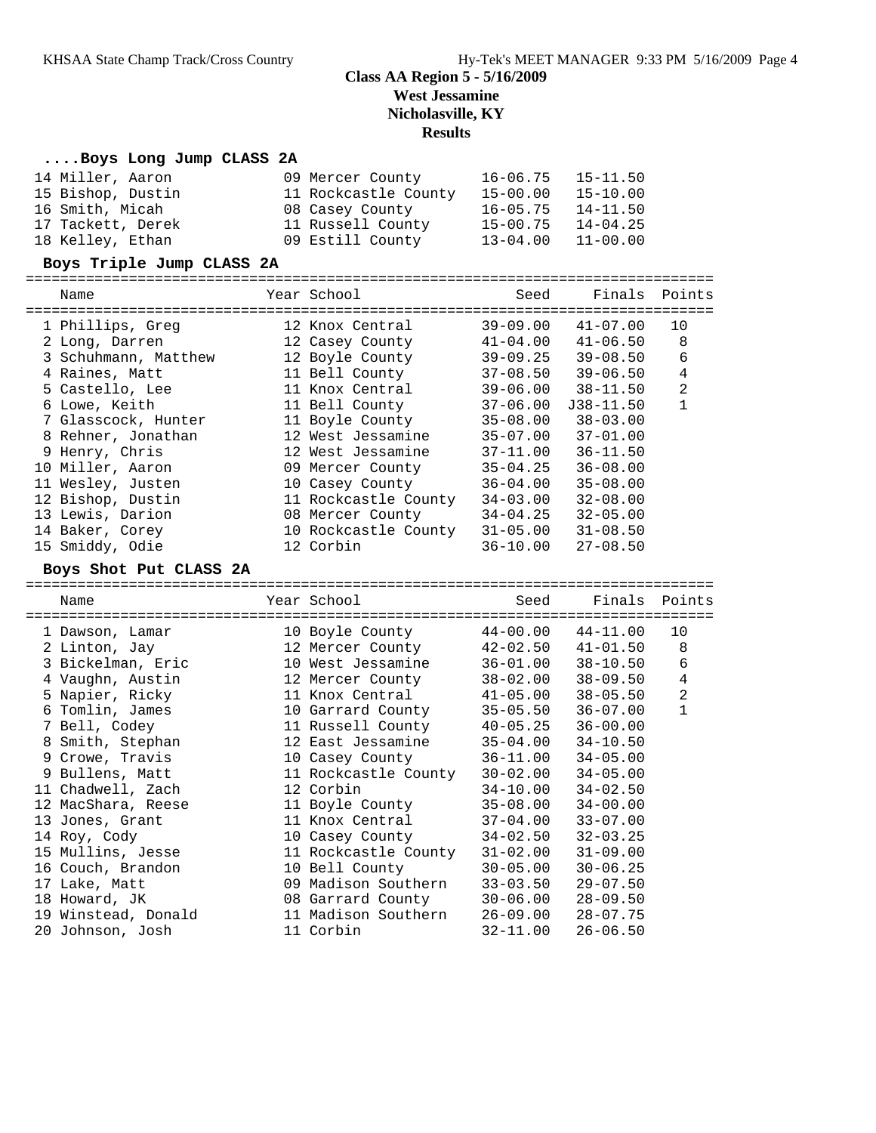#### **....Boys Long Jump CLASS 2A**

| 14 Miller, Aaron  | 09 Mercer County     | $16 - 06.75$ | $15 - 11.50$ |
|-------------------|----------------------|--------------|--------------|
| 15 Bishop, Dustin | 11 Rockcastle County | 15-00.00     | $15 - 10.00$ |
| 16 Smith, Micah   | 08 Casey County      | $16 - 05.75$ | 14-11.50     |
| 17 Tackett, Derek | 11 Russell County    | $15 - 00.75$ | $14 - 04.25$ |
| 18 Kelley, Ethan  | 09 Estill County     | $13 - 04.00$ | $11 - 00.00$ |

#### **Boys Triple Jump CLASS 2A**

| Name                 | Year School          | Seed         | Finals Points |                |
|----------------------|----------------------|--------------|---------------|----------------|
| 1 Phillips, Greg     | 12 Knox Central      | 39-09.00     | 41-07.00      | 10             |
| 2 Long, Darren       | 12 Casey County      | $41 - 04.00$ | $41 - 06.50$  | 8              |
| 3 Schuhmann, Matthew | 12 Boyle County      | $39 - 09.25$ | $39 - 08.50$  | 6              |
| 4 Raines, Matt       | 11 Bell County       | $37 - 08.50$ | $39 - 06.50$  | 4              |
| 5 Castello, Lee      | 11 Knox Central      | $39 - 06.00$ | $38 - 11.50$  | $\overline{2}$ |
| 6 Lowe, Keith        | 11 Bell County       | 37-06.00     | $J38 - 11.50$ |                |
| 7 Glasscock, Hunter  | 11 Boyle County      | 35-08.00     | $38 - 03.00$  |                |
| 8 Rehner, Jonathan   | 12 West Jessamine    | $35 - 07.00$ | $37 - 01.00$  |                |
| 9 Henry, Chris       | 12 West Jessamine    | 37-11.00     | $36 - 11.50$  |                |
| 10 Miller, Aaron     | 09 Mercer County     | 35-04.25     | $36 - 08.00$  |                |
| 11 Wesley, Justen    | 10 Casey County      | 36-04.00     | $35 - 08.00$  |                |
| 12 Bishop, Dustin    | 11 Rockcastle County | $34 - 03.00$ | $32 - 08.00$  |                |
| 13 Lewis, Darion     | 08 Mercer County     | 34-04.25     | $32 - 05.00$  |                |
| 14 Baker, Corey      | 10 Rockcastle County | $31 - 05.00$ | $31 - 08.50$  |                |
| 15 Smiddy, Odie      | 12 Corbin            | $36 - 10.00$ | $27 - 08.50$  |                |

#### **Boys Shot Put CLASS 2A**

================================================================================ Name Year School Seed Finals Points ================================================================================ 1 Dawson, Lamar 10 Boyle County 44-00.00 44-11.00 10 2 Linton, Jay 12 Mercer County 42-02.50 41-01.50 8 3 Bickelman, Eric 10 West Jessamine 36-01.00 38-10.50 6 4 Vaughn, Austin 12 Mercer County 38-02.00 38-09.50 4 5 Napier, Ricky 11 Knox Central 41-05.00 38-05.50 2 6 Tomlin, James 10 Garrard County 35-05.50 36-07.00 1 7 Bell, Codey 11 Russell County 40-05.25 36-00.00 8 Smith, Stephan 12 East Jessamine 35-04.00 34-10.50 9 Crowe, Travis 10 Casey County 36-11.00 34-05.00 9 Bullens, Matt 11 Rockcastle County 30-02.00 34-05.00 11 Chadwell, Zach 12 Corbin 34-10.00 34-02.50 12 MacShara, Reese 11 Boyle County 35-08.00 34-00.00 13 Jones, Grant 11 Knox Central 37-04.00 33-07.00 14 Roy, Cody 10 Casey County 34-02.50 32-03.25 15 Mullins, Jesse 11 Rockcastle County 31-02.00 31-09.00 16 Couch, Brandon 10 Bell County 30-05.00 30-06.25 17 Lake, Matt 09 Madison Southern 33-03.50 29-07.50 18 Howard, JK 08 Garrard County 30-06.00 28-09.50 19 Winstead, Donald 11 Madison Southern 26-09.00 28-07.75 20 Johnson, Josh 11 Corbin 32-11.00 26-06.50